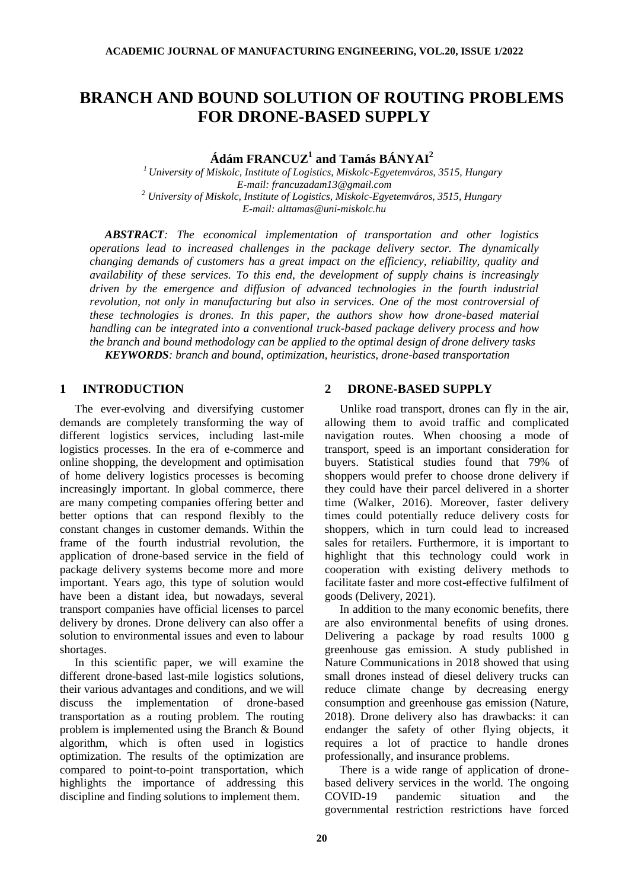# **BRANCH AND BOUND SOLUTION OF ROUTING PROBLEMS FOR DRONE-BASED SUPPLY**

**Ádám FRANCUZ<sup>1</sup> and Tamás BÁNYAI<sup>2</sup>**

*<sup>1</sup>University of Miskolc, Institute of Logistics, Miskolc-Egyetemváros, 3515, Hungary E-mail: francuzadam13@gmail.com <sup>2</sup> University of Miskolc, Institute of Logistics, Miskolc-Egyetemváros, 3515, Hungary E-mail: alttamas@uni-miskolc.hu*

*ABSTRACT: The economical implementation of transportation and other logistics operations lead to increased challenges in the package delivery sector. The dynamically changing demands of customers has a great impact on the efficiency, reliability, quality and availability of these services. To this end, the development of supply chains is increasingly driven by the emergence and diffusion of advanced technologies in the fourth industrial revolution, not only in manufacturing but also in services. One of the most controversial of these technologies is drones. In this paper, the authors show how drone-based material handling can be integrated into a conventional truck-based package delivery process and how the branch and bound methodology can be applied to the optimal design of drone delivery tasks KEYWORDS: branch and bound, optimization, heuristics, drone-based transportation*

# **1 INTRODUCTION**

The ever-evolving and diversifying customer demands are completely transforming the way of different logistics services, including last-mile logistics processes. In the era of e-commerce and online shopping, the development and optimisation of home delivery logistics processes is becoming increasingly important. In global commerce, there are many competing companies offering better and better options that can respond flexibly to the constant changes in customer demands. Within the frame of the fourth industrial revolution, the application of drone-based service in the field of package delivery systems become more and more important. Years ago, this type of solution would have been a distant idea, but nowadays, several transport companies have official licenses to parcel delivery by drones. Drone delivery can also offer a solution to environmental issues and even to labour shortages.

In this scientific paper, we will examine the different drone-based last-mile logistics solutions, their various advantages and conditions, and we will discuss the implementation of drone-based transportation as a routing problem. The routing problem is implemented using the Branch & Bound algorithm, which is often used in logistics optimization. The results of the optimization are compared to point-to-point transportation, which highlights the importance of addressing this discipline and finding solutions to implement them.

# **2 DRONE-BASED SUPPLY**

Unlike road transport, drones can fly in the air, allowing them to avoid traffic and complicated navigation routes. When choosing a mode of transport, speed is an important consideration for buyers. Statistical studies found that 79% of shoppers would prefer to choose drone delivery if they could have their parcel delivered in a shorter time (Walker, 2016). Moreover, faster delivery times could potentially reduce delivery costs for shoppers, which in turn could lead to increased sales for retailers. Furthermore, it is important to highlight that this technology could work in cooperation with existing delivery methods to facilitate faster and more cost-effective fulfilment of goods (Delivery, 2021).

In addition to the many economic benefits, there are also environmental benefits of using drones. Delivering a package by road results 1000 g greenhouse gas emission. A study published in Nature Communications in 2018 showed that using small drones instead of diesel delivery trucks can reduce climate change by decreasing energy consumption and greenhouse gas emission (Nature, 2018). Drone delivery also has drawbacks: it can endanger the safety of other flying objects, it requires a lot of practice to handle drones professionally, and insurance problems.

There is a wide range of application of dronebased delivery services in the world. The ongoing COVID-19 pandemic situation and the governmental restriction restrictions have forced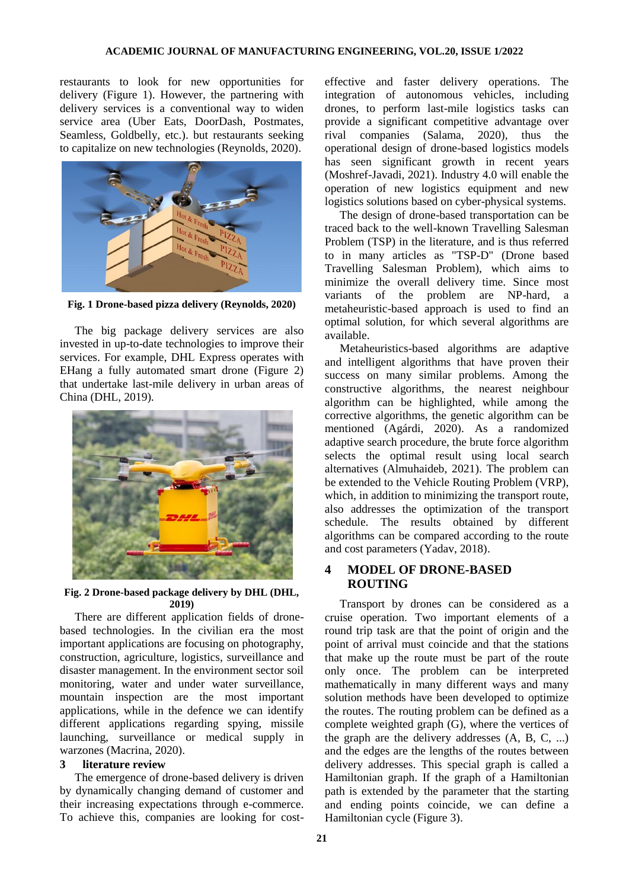restaurants to look for new opportunities for delivery (Figure 1). However, the partnering with delivery services is a conventional way to widen service area (Uber Eats, DoorDash, Postmates, Seamless, Goldbelly, etc.). but restaurants seeking to capitalize on new technologies (Reynolds, 2020).



**Fig. 1 Drone-based pizza delivery (Reynolds, 2020)**

The big package delivery services are also invested in up-to-date technologies to improve their services. For example, DHL Express operates with EHang a fully automated smart drone (Figure 2) that undertake last-mile delivery in urban areas of China (DHL, 2019).



#### **Fig. 2 Drone-based package delivery by DHL (DHL, 2019)**

There are different application fields of dronebased technologies. In the civilian era the most important applications are focusing on photography, construction, agriculture, logistics, surveillance and disaster management. In the environment sector soil monitoring, water and under water surveillance, mountain inspection are the most important applications, while in the defence we can identify different applications regarding spying, missile launching, surveillance or medical supply in warzones (Macrina, 2020).

#### **3 literature review**

The emergence of drone-based delivery is driven by dynamically changing demand of customer and their increasing expectations through e-commerce. To achieve this, companies are looking for costeffective and faster delivery operations. The integration of autonomous vehicles, including drones, to perform last-mile logistics tasks can provide a significant competitive advantage over rival companies (Salama, 2020), thus the operational design of drone-based logistics models has seen significant growth in recent years (Moshref-Javadi, 2021). Industry 4.0 will enable the operation of new logistics equipment and new logistics solutions based on cyber-physical systems.

The design of drone-based transportation can be traced back to the well-known Travelling Salesman Problem (TSP) in the literature, and is thus referred to in many articles as "TSP-D" (Drone based Travelling Salesman Problem), which aims to minimize the overall delivery time. Since most variants of the problem are NP-hard, a metaheuristic-based approach is used to find an optimal solution, for which several algorithms are available.

Metaheuristics-based algorithms are adaptive and intelligent algorithms that have proven their success on many similar problems. Among the constructive algorithms, the nearest neighbour algorithm can be highlighted, while among the corrective algorithms, the genetic algorithm can be mentioned (Agárdi, 2020). As a randomized adaptive search procedure, the brute force algorithm selects the optimal result using local search alternatives (Almuhaideb, 2021). The problem can be extended to the Vehicle Routing Problem (VRP), which, in addition to minimizing the transport route, also addresses the optimization of the transport schedule. The results obtained by different algorithms can be compared according to the route and cost parameters (Yadav, 2018).

# **4 MODEL OF DRONE-BASED ROUTING**

Transport by drones can be considered as a cruise operation. Two important elements of a round trip task are that the point of origin and the point of arrival must coincide and that the stations that make up the route must be part of the route only once. The problem can be interpreted mathematically in many different ways and many solution methods have been developed to optimize the routes. The routing problem can be defined as a complete weighted graph (G), where the vertices of the graph are the delivery addresses (A, B, C, ...) and the edges are the lengths of the routes between delivery addresses. This special graph is called a Hamiltonian graph. If the graph of a Hamiltonian path is extended by the parameter that the starting and ending points coincide, we can define a Hamiltonian cycle (Figure 3).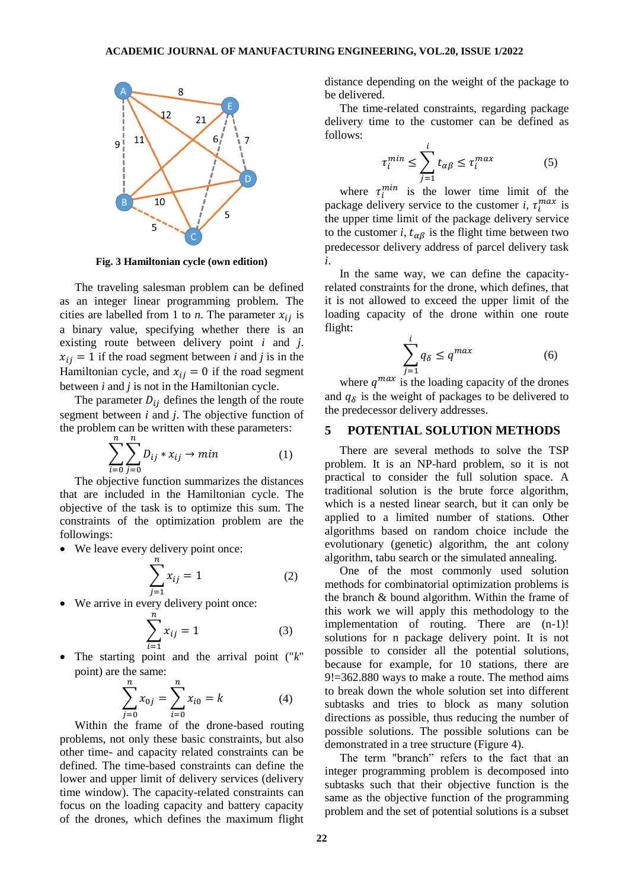

**Fig. 3 Hamiltonian cycle (own edition)**

The traveling salesman problem can be defined as an integer linear programming problem. The cities are labelled from 1 to *n*. The parameter  $x_{ij}$  is a binary value, specifying whether there is an existing route between delivery point *i* and *j*.  $x_{ij} = 1$  if the road segment between *i* and *j* is in the Hamiltonian cycle, and  $x_{ij} = 0$  if the road segment between *i* and *j* is not in the Hamiltonian cycle.

The parameter  $D_{ij}$  defines the length of the route segment between *i* and *j*. The objective function of the problem can be written with these parameters:

$$
\sum_{i=0}^{n} \sum_{j=0}^{n} D_{ij} * x_{ij} \to \min
$$
 (1)

The objective function summarizes the distances that are included in the Hamiltonian cycle. The objective of the task is to optimize this sum. The constraints of the optimization problem are the followings:

We leave every delivery point once:

$$
\sum_{j=1}^{n} x_{ij} = 1
$$
 (2)

We arrive in every delivery point once:

$$
\sum_{i=1}^{n} x_{ij} = 1
$$
 (3)

 The starting point and the arrival point ("*k*" point) are the same:

$$
\sum_{j=0}^{n} x_{0j} = \sum_{i=0}^{n} x_{i0} = k
$$
 (4)

Within the frame of the drone-based routing problems, not only these basic constraints, but also other time- and capacity related constraints can be defined. The time-based constraints can define the lower and upper limit of delivery services (delivery time window). The capacity-related constraints can focus on the loading capacity and battery capacity of the drones, which defines the maximum flight distance depending on the weight of the package to be delivered.

The time-related constraints, regarding package delivery time to the customer can be defined as follows:

$$
\tau_i^{min} \le \sum_{j=1}^i t_{\alpha\beta} \le \tau_i^{max} \tag{5}
$$

where  $\tau_i^{min}$  is the lower time limit of the package delivery service to the customer *i*,  $\tau_i^{max}$  is the upper time limit of the package delivery service to the customer *i*,  $t_{\alpha\beta}$  is the flight time between two predecessor delivery address of parcel delivery task *i*.

In the same way, we can define the capacityrelated constraints for the drone, which defines, that it is not allowed to exceed the upper limit of the loading capacity of the drone within one route flight:

$$
\sum_{j=1}^{i} q_{\delta} \le q^{max} \tag{6}
$$

where  $q^{max}$  is the loading capacity of the drones and  $q_{\delta}$  is the weight of packages to be delivered to the predecessor delivery addresses.

# **5 POTENTIAL SOLUTION METHODS**

There are several methods to solve the TSP problem. It is an NP-hard problem, so it is not practical to consider the full solution space. A traditional solution is the brute force algorithm, which is a nested linear search, but it can only be applied to a limited number of stations. Other algorithms based on random choice include the evolutionary (genetic) algorithm, the ant colony algorithm, tabu search or the simulated annealing.

One of the most commonly used solution methods for combinatorial optimization problems is the branch & bound algorithm. Within the frame of this work we will apply this methodology to the implementation of routing. There are (n-1)! solutions for n package delivery point. It is not possible to consider all the potential solutions, because for example, for 10 stations, there are 9!=362.880 ways to make a route. The method aims to break down the whole solution set into different subtasks and tries to block as many solution directions as possible, thus reducing the number of possible solutions. The possible solutions can be demonstrated in a tree structure (Figure 4).

The term "branch" refers to the fact that an integer programming problem is decomposed into subtasks such that their objective function is the same as the objective function of the programming problem and the set of potential solutions is a subset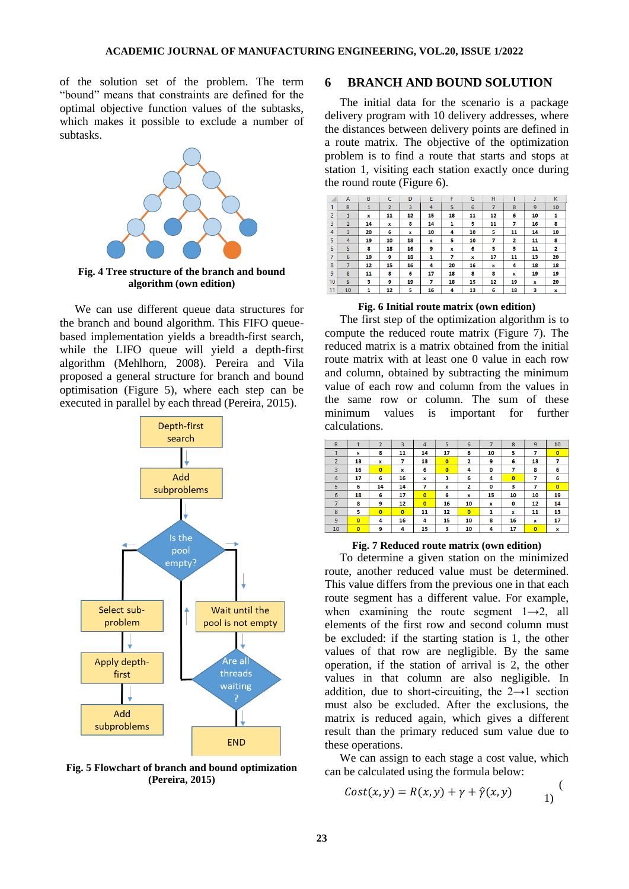of the solution set of the problem. The term "bound" means that constraints are defined for the optimal objective function values of the subtasks, which makes it possible to exclude a number of subtasks.



**Fig. 4 Tree structure of the branch and bound algorithm (own edition)**

We can use different queue data structures for the branch and bound algorithm. This FIFO queuebased implementation yields a breadth-first search, while the LIFO queue will yield a depth-first algorithm (Mehlhorn, 2008). Pereira and Vila proposed a general structure for branch and bound optimisation (Figure 5), where each step can be executed in parallel by each thread (Pereira, 2015).



**Fig. 5 Flowchart of branch and bound optimization (Pereira, 2015)**

## **6 BRANCH AND BOUND SOLUTION**

The initial data for the scenario is a package delivery program with 10 delivery addresses, where the distances between delivery points are defined in a route matrix. The objective of the optimization problem is to find a route that starts and stops at station 1, visiting each station exactly once during the round route (Figure 6).

|                | $\overline{A}$ | B            | C              | D              | E  | F  | G  | н              |              |    | K  |
|----------------|----------------|--------------|----------------|----------------|----|----|----|----------------|--------------|----|----|
| 1              | $\mathbb{R}$   | $\mathbf{1}$ | $\overline{2}$ | $\overline{3}$ | 4  | 5  | 6  | $\overline{7}$ | 8            | 9  | 10 |
| $\overline{2}$ | $\mathbf{1}$   | x            | 11             | 12             | 15 | 18 | 11 | 12             | 6            | 10 | 1  |
| 3              | $\overline{2}$ | 14           | $\mathbf{x}$   | 8              | 14 | 1  | 5  | 11             | 7            | 16 | 8  |
| $\overline{4}$ | 3              | 20           | 6              | ×              | 10 | 4  | 10 | 5              | 11           | 14 | 10 |
| 5              | 4              | 19           | 10             | 18             | x  | 5  | 10 | 7              | $\mathbf{2}$ | 11 | 8  |
| 6              | 5              | 8            | 18             | 16             | 9  | x  | 6  | з              | 5            | 11 | 2  |
| $\overline{7}$ | $6\phantom{1}$ | 19           | 9              | 18             | 1  | 7  | x  | 17             | 11           | 13 | 20 |
| 8              | $\overline{7}$ | 12           | 15             | 16             | 4  | 20 | 16 | ×              | 4            | 18 | 18 |
| 9              | 8              | 11           | 8              | 6              | 17 | 18 | 8  | 8              | ×            | 19 | 19 |
| 10             | 9              | 3            | 9              | 19             | 7  | 18 | 15 | 12             | 19           | ×  | 20 |
| 11             | 10             | 1            | 12             | 5              | 16 | 4  | 13 | 6              | 18           | з  | x  |

#### **Fig. 6 Initial route matrix (own edition)**

The first step of the optimization algorithm is to compute the reduced route matrix (Figure 7). The reduced matrix is a matrix obtained from the initial route matrix with at least one 0 value in each row and column, obtained by subtracting the minimum value of each row and column from the values in the same row or column. The sum of these minimum values is important for further calculations.

| $\overline{\mathsf{R}}$ | 1              | $\overline{2}$ | 3              | $\overline{4}$          | 5              | 6              | 7  | 8              | 9              | 10             |
|-------------------------|----------------|----------------|----------------|-------------------------|----------------|----------------|----|----------------|----------------|----------------|
| $\mathbf{1}$            | x              | 8              | 11             | 14                      | 17             | 8              | 10 | 5              | 7              | $\overline{0}$ |
| $\overline{2}$          | 13             | $\mathbf{x}$   | 7              | 13                      | $\overline{0}$ | $\overline{2}$ | 9  | 6              | 13             | 7              |
| $\overline{3}$          | 16             | $\overline{0}$ | x              | 6                       | $\overline{0}$ | 4              | 0  | 7              | 8              | 6              |
| 4                       | 17             | 6              | 16             | x                       | з              | 6              | 4  | $\overline{0}$ | 7              | 6              |
| 5                       | 6              | 14             | 14             | 7                       | $\mathbf{x}$   | $\overline{2}$ | 0  | 3              | 7              | $\overline{0}$ |
| $6\phantom{1}6$         | 18             | 6              | 17             | $\overline{\mathbf{0}}$ | 6              | x              | 15 | 10             | 10             | 19             |
| $\overline{7}$          | 8              | 9              | 12             | $\overline{\mathbf{0}}$ | 16             | 10             | x  | $\mathbf 0$    | 12             | 14             |
| 8                       | 5              | $\overline{0}$ | $\overline{0}$ | 11                      | 12             | $\overline{0}$ | 1  | $\mathbf{x}$   | 11             | 13             |
| $\mathbf{9}$            | $\overline{0}$ | 4              | 16             | 4                       | 15             | 10             | 8  | 16             | x              | 17             |
| 10                      | $\overline{0}$ | 9              | 4              | 15                      | з              | 10             | 4  | 17             | $\overline{0}$ | x              |

#### **Fig. 7 Reduced route matrix (own edition)**

To determine a given station on the minimized route, another reduced value must be determined. This value differs from the previous one in that each route segment has a different value. For example, when examining the route segment  $1\rightarrow 2$ , all elements of the first row and second column must be excluded: if the starting station is 1, the other values of that row are negligible. By the same operation, if the station of arrival is 2, the other values in that column are also negligible. In addition, due to short-circuiting, the  $2\rightarrow 1$  section must also be excluded. After the exclusions, the matrix is reduced again, which gives a different result than the primary reduced sum value due to these operations.

We can assign to each stage a cost value, which can be calculated using the formula below:

$$
Cost(x, y) = R(x, y) + \gamma + \hat{\gamma}(x, y)
$$

 $\sqrt{ }$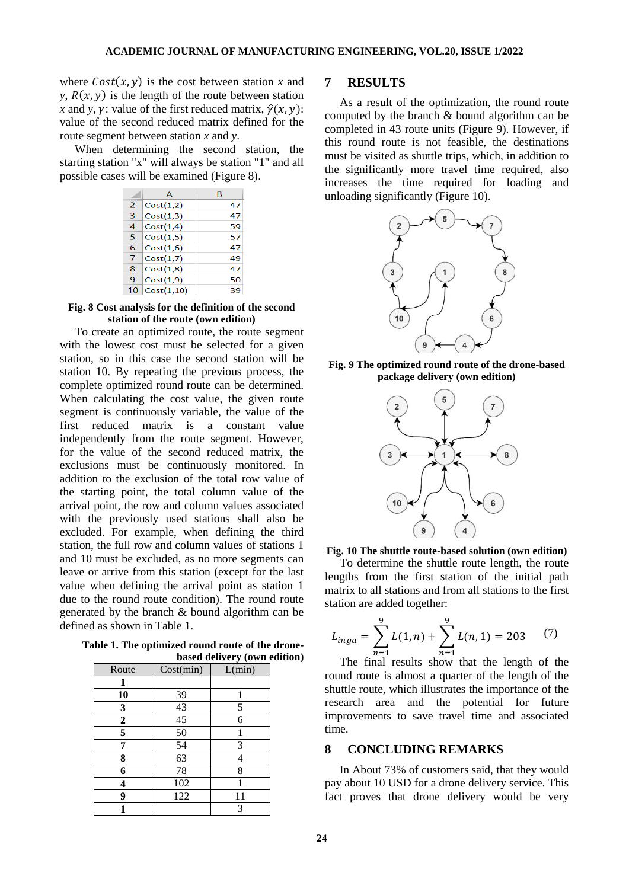where  $Cost(x, y)$  is the cost between station *x* and *y*,  $R(x, y)$  is the length of the route between station *x* and *y*, *y*: value of the first reduced matrix,  $\hat{y}(x, y)$ : value of the second reduced matrix defined for the route segment between station *x* and *y*.

When determining the second station, the starting station "x" will always be station "1" and all possible cases will be examined (Figure 8).

|   | А          | в  |
|---|------------|----|
| 2 | Cost(1,2)  | 47 |
| 3 | Cost(1,3)  | 47 |
| 4 | Cost(1.4)  | 59 |
| 5 | Cost(1.5)  | 57 |
| 6 | Cost(1,6)  | 47 |
| 7 | Cost(1,7)  | 49 |
| 8 | Cost(1.8)  | 47 |
| 9 | Cost(1.9)  | 50 |
|   | Cost(1,10) | 39 |

#### **Fig. 8 Cost analysis for the definition of the second station of the route (own edition)**

To create an optimized route, the route segment with the lowest cost must be selected for a given station, so in this case the second station will be station 10. By repeating the previous process, the complete optimized round route can be determined. When calculating the cost value, the given route segment is continuously variable, the value of the first reduced matrix is a constant value independently from the route segment. However, for the value of the second reduced matrix, the exclusions must be continuously monitored. In addition to the exclusion of the total row value of the starting point, the total column value of the arrival point, the row and column values associated with the previously used stations shall also be excluded. For example, when defining the third station, the full row and column values of stations 1 and 10 must be excluded, as no more segments can leave or arrive from this station (except for the last value when defining the arrival point as station 1 due to the round route condition). The round route generated by the branch & bound algorithm can be defined as shown in Table 1.

**Table 1. The optimized round route of the dronebased delivery (own edition)**

| Route            | Cost(min)       | L(min) |
|------------------|-----------------|--------|
|                  |                 |        |
| 10               | 39              |        |
| 3                | 43              | 5      |
| $\boldsymbol{2}$ | 45              | 6      |
| 5                | $\overline{50}$ |        |
| 7                | $\overline{54}$ | 3      |
| 8                | 63              |        |
| 6                | 78              | 8      |
| 4                | 102             |        |
| 9                | 122             | 11     |
|                  |                 | 3      |

## **7 RESULTS**

As a result of the optimization, the round route computed by the branch & bound algorithm can be completed in 43 route units (Figure 9). However, if this round route is not feasible, the destinations must be visited as shuttle trips, which, in addition to the significantly more travel time required, also increases the time required for loading and unloading significantly (Figure 10).



**Fig. 9 The optimized round route of the drone-based package delivery (own edition)**





To determine the shuttle route length, the route lengths from the first station of the initial path matrix to all stations and from all stations to the first station are added together:

$$
L_{inga} = \sum_{n=1}^{9} L(1, n) + \sum_{n=1}^{9} L(n, 1) = 203 \tag{7}
$$

The final results show that the length of the round route is almost a quarter of the length of the shuttle route, which illustrates the importance of the research area and the potential for future improvements to save travel time and associated time.

## **8 CONCLUDING REMARKS**

In About 73% of customers said, that they would pay about 10 USD for a drone delivery service. This fact proves that drone delivery would be very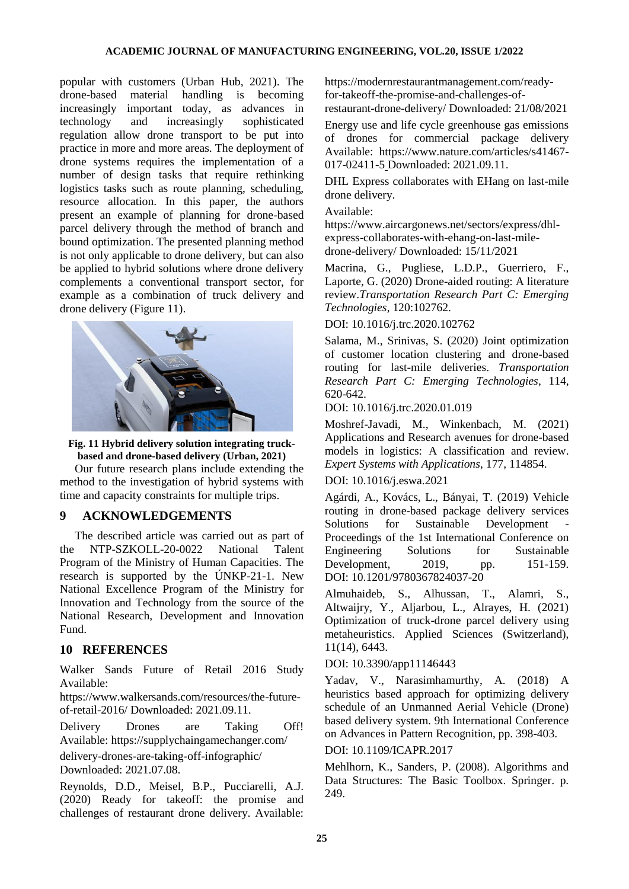popular with customers (Urban Hub, 2021). The drone-based material handling is becoming increasingly important today, as advances in technology and increasingly sophisticated regulation allow drone transport to be put into practice in more and more areas. The deployment of drone systems requires the implementation of a number of design tasks that require rethinking logistics tasks such as route planning, scheduling, resource allocation. In this paper, the authors present an example of planning for drone-based parcel delivery through the method of branch and bound optimization. The presented planning method is not only applicable to drone delivery, but can also be applied to hybrid solutions where drone delivery complements a conventional transport sector, for example as a combination of truck delivery and drone delivery (Figure 11).



**Fig. 11 Hybrid delivery solution integrating truckbased and drone-based delivery (Urban, 2021)**

Our future research plans include extending the method to the investigation of hybrid systems with time and capacity constraints for multiple trips.

# **9 ACKNOWLEDGEMENTS**

The described article was carried out as part of the NTP-SZKOLL-20-0022 National Talent Program of the Ministry of Human Capacities. The research is supported by the ÚNKP-21-1. New National Excellence Program of the Ministry for Innovation and Technology from the source of the National Research, Development and Innovation Fund.

#### **10 REFERENCES**

Walker Sands Future of Retail 2016 Study Available:

https://www.walkersands.com/resources/the-futureof-retail-2016/ Downloaded: 2021.09.11.

Delivery Drones are Taking Off! Available: https://supplychaingamechanger.com/ delivery-drones-are-taking-off-infographic/ Downloaded: 2021.07.08.

Reynolds, D.D., Meisel, B.P., Pucciarelli, A.J. (2020) Ready for takeoff: the promise and challenges of restaurant drone delivery. Available:

https://modernrestaurantmanagement.com/readyfor-takeoff-the-promise-and-challenges-of-

restaurant-drone-delivery/ Downloaded: 21/08/2021

Energy use and life cycle greenhouse gas emissions of drones for commercial package delivery Available: https://www.nature.com/articles/s41467- 017-02411-5 Downloaded: 2021.09.11.

DHL Express collaborates with EHang on last-mile drone delivery.

#### Available:

https://www.aircargonews.net/sectors/express/dhlexpress-collaborates-with-ehang-on-last-miledrone-delivery/ Downloaded: 15/11/2021

Macrina, G., Pugliese, L.D.P., Guerriero, F., Laporte, G. (2020) Drone-aided routing: A literature review.*Transportation Research Part C: Emerging Technologies*, 120:102762.

## DOI: 10.1016/j.trc.2020.102762

Salama, M., Srinivas, S. (2020) [Joint optimization](https://www.scopus.com/record/display.uri?eid=2-s2.0-85080981723&origin=resultslist)  [of customer location clustering and drone-based](https://www.scopus.com/record/display.uri?eid=2-s2.0-85080981723&origin=resultslist)  [routing for last-mile deliveries.](https://www.scopus.com/record/display.uri?eid=2-s2.0-85080981723&origin=resultslist) *Transportation Research Part C: Emerging Technologies*, 114, 620-642.

#### DOI: 10.1016/j.trc.2020.01.019

Moshref-Javadi, M., Winkenbach, M. (2021) Applications and [Research avenues for drone-based](https://www.scopus.com/record/display.uri?eid=2-s2.0-85104139743&origin=resultslist)  [models in logistics: A classification and review.](https://www.scopus.com/record/display.uri?eid=2-s2.0-85104139743&origin=resultslist) *Expert Systems with Applications*, 177, 114854.

#### DOI: 10.1016/j.eswa.2021

Agárdi, A., Kovács, L., Bányai, T. (2019) [Vehicle](https://www.scopus.com/record/display.uri?eid=2-s2.0-85079228262&origin=resultslist)  [routing in drone-based package delivery services](https://www.scopus.com/record/display.uri?eid=2-s2.0-85079228262&origin=resultslist) Solutions for Sustainable Development Proceedings of the 1st International Conference on Engineering Solutions for Sustainable Development, 2019, pp. 151-159. DOI: 10.1201/9780367824037-20

Almuhaideb, S., Alhussan, T., Alamri, S., Altwaijry, Y., Aljarbou, L., Alrayes, H. (2021) [Optimization of truck-drone parcel delivery using](https://www.scopus.com/record/display.uri?eid=2-s2.0-85110923104&origin=resultslist)  [metaheuristics.](https://www.scopus.com/record/display.uri?eid=2-s2.0-85110923104&origin=resultslist) Applied Sciences (Switzerland), 11(14), 6443.

## DOI: 10.3390/app11146443

Yadav, V., Narasimhamurthy, A. (2018) [A](https://www.scopus.com/record/display.uri?eid=2-s2.0-85061477986&origin=resultslist)  [heuristics based approach for optimizing delivery](https://www.scopus.com/record/display.uri?eid=2-s2.0-85061477986&origin=resultslist)  [schedule of an Unmanned Aerial Vehicle \(Drone\)](https://www.scopus.com/record/display.uri?eid=2-s2.0-85061477986&origin=resultslist)  [based delivery system.](https://www.scopus.com/record/display.uri?eid=2-s2.0-85061477986&origin=resultslist) 9th International Conference on Advances in Pattern Recognition, pp. 398-403.

## DOI: 10.1109/ICAPR.2017

Mehlhorn, K., Sanders, P. (2008). Algorithms and Data Structures: The Basic Toolbox. Springer. p. 249.